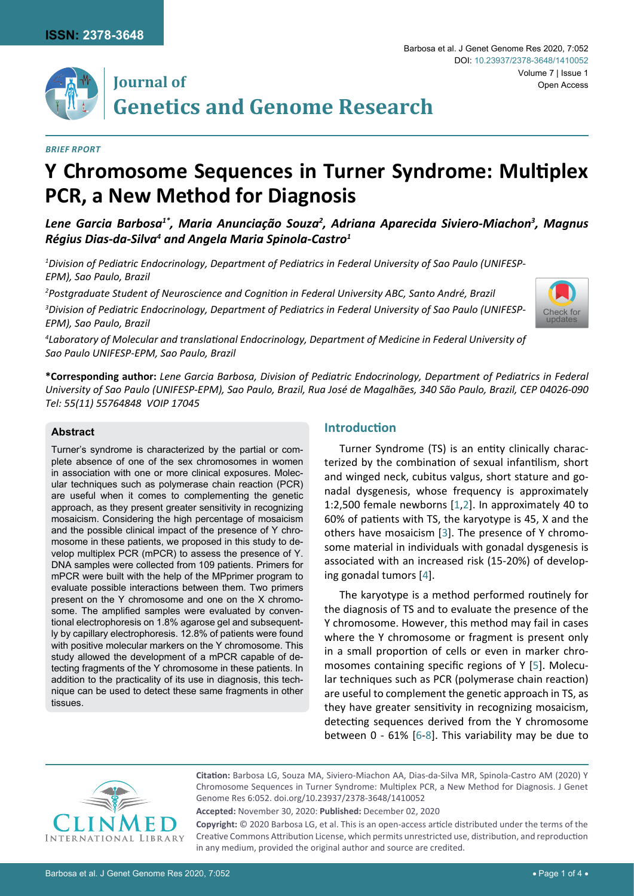



# **Journal of Genetics and Genome Research**

#### *Brief Rport*

# **Y Chromosome Sequences in Turner Syndrome: Multiplex PCR, a New Method for Diagnosis**

Lene Garcia Barbosa<sup>1\*</sup>, Maria Anunciação Souza<sup>2</sup>, Adriana Aparecida Siviero-Miachon<sup>3</sup>, Magnus *Régius Dias-da-Silva4 and Angela Maria Spinola-Castro1*

*1 Division of Pediatric Endocrinology, Department of Pediatrics in Federal University of Sao Paulo (UNIFESP-EPM), Sao Paulo, Brazil*

*2 Postgraduate Student of Neuroscience and Cognition in Federal University ABC, Santo André, Brazil*

*3 Division of Pediatric Endocrinology, Department of Pediatrics in Federal University of Sao Paulo (UNIFESP-EPM), Sao Paulo, Brazil*



*4 Laboratory of Molecular and translational Endocrinology, Department of Medicine in Federal University of Sao Paulo UNIFESP-EPM, Sao Paulo, Brazil*

**\*Corresponding author:** *Lene Garcia Barbosa, Division of Pediatric Endocrinology, Department of Pediatrics in Federal University of Sao Paulo (UNIFESP-EPM), Sao Paulo, Brazil, Rua José de Magalhães, 340 São Paulo, Brazil, CEP 04026-090 Tel: 55(11) 55764848 VOIP 17045*

#### **Abstract**

Turner's syndrome is characterized by the partial or complete absence of one of the sex chromosomes in women in association with one or more clinical exposures. Molecular techniques such as polymerase chain reaction (PCR) are useful when it comes to complementing the genetic approach, as they present greater sensitivity in recognizing mosaicism. Considering the high percentage of mosaicism and the possible clinical impact of the presence of Y chromosome in these patients, we proposed in this study to develop multiplex PCR (mPCR) to assess the presence of Y. DNA samples were collected from 109 patients. Primers for mPCR were built with the help of the MPprimer program to evaluate possible interactions between them. Two primers present on the Y chromosome and one on the X chromosome. The amplified samples were evaluated by conventional electrophoresis on 1.8% agarose gel and subsequently by capillary electrophoresis. 12.8% of patients were found with positive molecular markers on the Y chromosome. This study allowed the development of a mPCR capable of detecting fragments of the Y chromosome in these patients. In addition to the practicality of its use in diagnosis, this technique can be used to detect these same fragments in other tissues.

# **Introduction**

Turner Syndrome (TS) is an entity clinically characterized by the combination of sexual infantilism, short and winged neck, cubitus valgus, short stature and gonadal dysgenesis, whose frequency is approximately 1:2,500 female newborns [[1](#page-3-0),[2](#page-3-1)]. In approximately 40 to 60% of patients with TS, the karyotype is 45, X and the others have mosaicism [\[3\]](#page-3-2). The presence of Y chromosome material in individuals with gonadal dysgenesis is associated with an increased risk (15-20%) of developing gonadal tumors [[4](#page-3-3)].

The karyotype is a method performed routinely for the diagnosis of TS and to evaluate the presence of the Y chromosome. However, this method may fail in cases where the Y chromosome or fragment is present only in a small proportion of cells or even in marker chromosomes containing specific regions of Y [[5](#page-3-4)]. Molecular techniques such as PCR (polymerase chain reaction) are useful to complement the genetic approach in TS, as they have greater sensitivity in recognizing mosaicism, detecting sequences derived from the Y chromosome between 0 - 61% [[6](#page-3-5)-[8](#page-3-6)]. This variability may be due to



**Citation:** Barbosa LG, Souza MA, Siviero-Miachon AA, Dias-da-Silva MR, Spinola-Castro AM (2020) Y Chromosome Sequences in Turner Syndrome: Multiplex PCR, a New Method for Diagnosis. J Genet Genome Res 6:052. [doi.org/1](https://doi.org/10.23937/2378-3648/1410052)0.23937/2378-3648/1410052

**Accepted:** November 30, 2020: **Published:** December 02, 2020

**Copyright:** © 2020 Barbosa LG, et al. This is an open-access article distributed under the terms of the Creative Commons Attribution License, which permits unrestricted use, distribution, and reproduction in any medium, provided the original author and source are credited.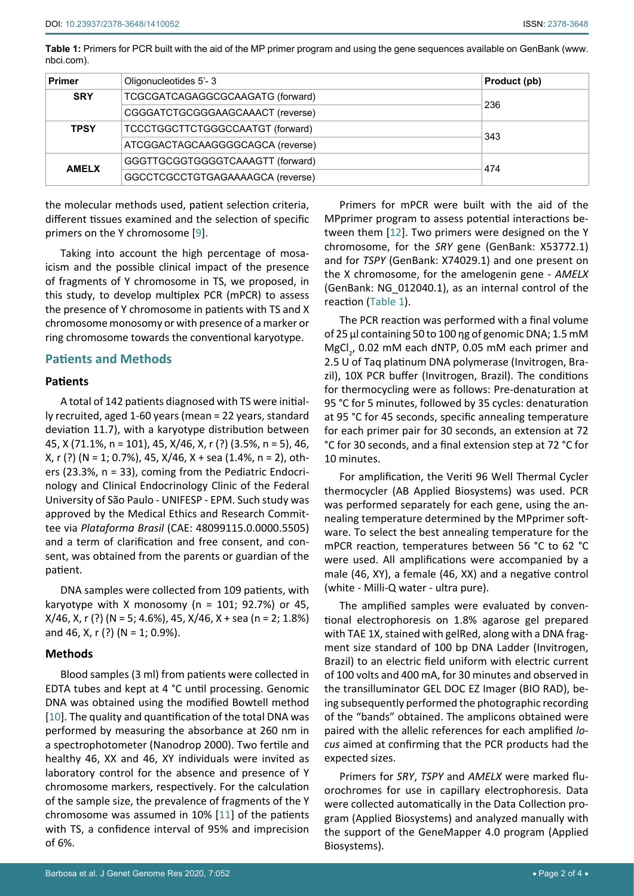<span id="page-1-0"></span>**Table 1:** Primers for PCR built with the aid of the MP primer program and using the gene sequences available on GenBank (www. nbci.com).

| <b>Primer</b> | Oligonucleotides 5'-3            | Product (pb) |
|---------------|----------------------------------|--------------|
| <b>SRY</b>    | TCGCGATCAGAGGCGCAAGATG (forward) | 236          |
|               | CGGGATCTGCGGGAAGCAAACT (reverse) |              |
| <b>TPSY</b>   | TCCCTGGCTTCTGGGCCAATGT (forward) | 343          |
|               | ATCGGACTAGCAAGGGGCAGCA (reverse) |              |
| <b>AMELX</b>  | GGGTTGCGGTGGGGTCAAAGTT (forward) | 474          |
|               | GGCCTCGCCTGTGAGAAAAGCA (reverse) |              |

the molecular methods used, patient selection criteria, different tissues examined and the selection of specific primers on the Y chromosome [[9](#page-3-8)].

Taking into account the high percentage of mosaicism and the possible clinical impact of the presence of fragments of Y chromosome in TS, we proposed, in this study, to develop multiplex PCR (mPCR) to assess the presence of Y chromosome in patients with TS and X chromosome monosomy or with presence of a marker or ring chromosome towards the conventional karyotype.

## **Patients and Methods**

#### **Patients**

A total of 142 patients diagnosed with TS were initially recruited, aged 1-60 years (mean = 22 years, standard deviation 11.7), with a karyotype distribution between 45, X (71.1%, n = 101), 45, X/46, X, r (?) (3.5%, n = 5), 46, X, r (?) (N = 1; 0.7%), 45, X/46, X + sea (1.4%, n = 2), others (23.3%, n = 33), coming from the Pediatric Endocrinology and Clinical Endocrinology Clinic of the Federal University of São Paulo - UNIFESP - EPM. Such study was approved by the Medical Ethics and Research Committee via *Plataforma Brasil* (CAE: 48099115.0.0000.5505) and a term of clarification and free consent, and consent, was obtained from the parents or guardian of the patient.

DNA samples were collected from 109 patients, with karyotype with X monosomy ( $n = 101$ ; 92.7%) or 45,  $X/46$ , X, r (?) (N = 5; 4.6%), 45,  $X/46$ , X + sea (n = 2; 1.8%) and 46, X, r (?) (N = 1; 0.9%).

#### **Methods**

Blood samples (3 ml) from patients were collected in EDTA tubes and kept at 4 °C until processing. Genomic DNA was obtained using the modified Bowtell method [[10](#page-3-9)]. The quality and quantification of the total DNA was performed by measuring the absorbance at 260 nm in a spectrophotometer (Nanodrop 2000). Two fertile and healthy 46, XX and 46, XY individuals were invited as laboratory control for the absence and presence of Y chromosome markers, respectively. For the calculation of the sample size, the prevalence of fragments of the Y chromosome was assumed in 10% [[11\]](#page-3-10) of the patients with TS, a confidence interval of 95% and imprecision of 6%.

Primers for mPCR were built with the aid of the MPprimer program to assess potential interactions between them [\[12](#page-3-7)]. Two primers were designed on the Y chromosome, for the *SRY* gene (GenBank: X53772.1) and for *TSPY* (GenBank: X74029.1) and one present on the X chromosome, for the amelogenin gene - *AMELX* (GenBank: NG\_012040.1), as an internal control of the reaction [\(Table 1\)](#page-1-0).

The PCR reaction was performed with a final volume of 25 µl containing 50 to 100 ηg of genomic DNA; 1.5 mM  $MgCl<sub>2</sub>$ , 0.02 mM each dNTP, 0.05 mM each primer and 2.5 U of Taq platinum DNA polymerase (Invitrogen, Brazil), 10X PCR buffer (Invitrogen, Brazil). The conditions for thermocycling were as follows: Pre-denaturation at 95 °C for 5 minutes, followed by 35 cycles: denaturation at 95 °C for 45 seconds, specific annealing temperature for each primer pair for 30 seconds, an extension at 72 °C for 30 seconds, and a final extension step at 72 °C for 10 minutes.

For amplification, the Veriti 96 Well Thermal Cycler thermocycler (AB Applied Biosystems) was used. PCR was performed separately for each gene, using the annealing temperature determined by the MPprimer software. To select the best annealing temperature for the mPCR reaction, temperatures between 56 °C to 62 °C were used. All amplifications were accompanied by a male (46, XY), a female (46, XX) and a negative control (white - Milli-Q water - ultra pure).

The amplified samples were evaluated by conventional electrophoresis on 1.8% agarose gel prepared with TAE 1X, stained with gelRed, along with a DNA fragment size standard of 100 bp DNA Ladder (Invitrogen, Brazil) to an electric field uniform with electric current of 100 volts and 400 mA, for 30 minutes and observed in the transilluminator GEL DOC EZ Imager (BIO RAD), being subsequently performed the photographic recording of the "bands" obtained. The amplicons obtained were paired with the allelic references for each amplified *locus* aimed at confirming that the PCR products had the expected sizes.

Primers for *SRY*, *TSPY* and *AMELX* were marked fluorochromes for use in capillary electrophoresis. Data were collected automatically in the Data Collection program (Applied Biosystems) and analyzed manually with the support of the GeneMapper 4.0 program (Applied Biosystems).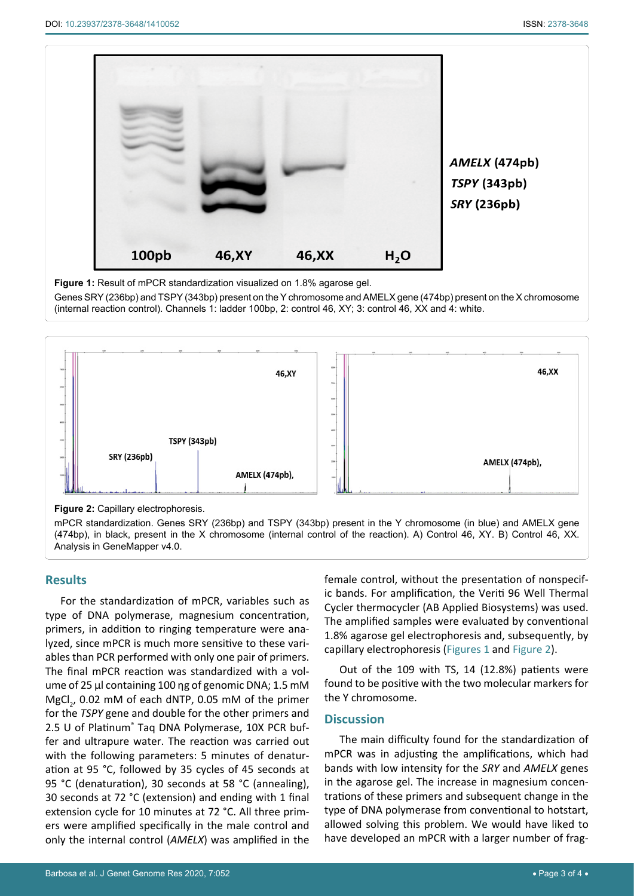<span id="page-2-0"></span>

**Figure 1:** Result of mPCR standardization visualized on 1.8% agarose gel.

Genes SRY (236bp) and TSPY (343bp) present on the Y chromosome and AMELX gene (474bp) present on the X chromosome (internal reaction control). Channels 1: ladder 100bp, 2: control 46, XY; 3: control 46, XX and 4: white.

<span id="page-2-1"></span>

**Figure 2:** Capillary electrophoresis.

mPCR standardization. Genes SRY (236bp) and TSPY (343bp) present in the Y chromosome (in blue) and AMELX gene (474bp), in black, present in the X chromosome (internal control of the reaction). A) Control 46, XY. B) Control 46, XX. Analysis in GeneMapper v4.0.

#### **Results**

For the standardization of mPCR, variables such as type of DNA polymerase, magnesium concentration, primers, in addition to ringing temperature were analyzed, since mPCR is much more sensitive to these variables than PCR performed with only one pair of primers. The final mPCR reaction was standardized with a volume of 25 µl containing 100 ηg of genomic DNA; 1.5 mM  $MgCl<sub>2</sub>$ , 0.02 mM of each dNTP, 0.05 mM of the primer for the *TSPY* gene and double for the other primers and 2.5 U of Platinum® Taq DNA Polymerase, 10X PCR buffer and ultrapure water. The reaction was carried out with the following parameters: 5 minutes of denaturation at 95 °C, followed by 35 cycles of 45 seconds at 95 °C (denaturation), 30 seconds at 58 °C (annealing), 30 seconds at 72 °C (extension) and ending with 1 final extension cycle for 10 minutes at 72 °C. All three primers were amplified specifically in the male control and only the internal control (*AMELX*) was amplified in the

female control, without the presentation of nonspecific bands. For amplification, the Veriti 96 Well Thermal Cycler thermocycler (AB Applied Biosystems) was used. The amplified samples were evaluated by conventional 1.8% agarose gel electrophoresis and, subsequently, by capillary electrophoresis ([Figures 1](#page-2-0) and [Figure 2\)](#page-2-1).

Out of the 109 with TS, 14 (12.8%) patients were found to be positive with the two molecular markers for the Y chromosome.

#### **Discussion**

The main difficulty found for the standardization of mPCR was in adjusting the amplifications, which had bands with low intensity for the *SRY* and *AMELX* genes in the agarose gel. The increase in magnesium concentrations of these primers and subsequent change in the type of DNA polymerase from conventional to hotstart, allowed solving this problem. We would have liked to have developed an mPCR with a larger number of frag-